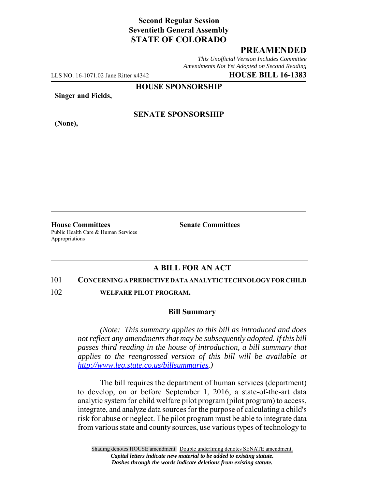# **Second Regular Session Seventieth General Assembly STATE OF COLORADO**

## **PREAMENDED**

*This Unofficial Version Includes Committee Amendments Not Yet Adopted on Second Reading*

LLS NO. 16-1071.02 Jane Ritter x4342 **HOUSE BILL 16-1383**

**HOUSE SPONSORSHIP**

**Singer and Fields,**

**(None),**

### **SENATE SPONSORSHIP**

**House Committees Senate Committees** Public Health Care & Human Services Appropriations

### **A BILL FOR AN ACT**

#### 101 **CONCERNING A PREDICTIVE DATA ANALYTIC TECHNOLOGY FOR CHILD**

102 **WELFARE PILOT PROGRAM.**

#### **Bill Summary**

*(Note: This summary applies to this bill as introduced and does not reflect any amendments that may be subsequently adopted. If this bill passes third reading in the house of introduction, a bill summary that applies to the reengrossed version of this bill will be available at http://www.leg.state.co.us/billsummaries.)*

The bill requires the department of human services (department) to develop, on or before September 1, 2016, a state-of-the-art data analytic system for child welfare pilot program (pilot program) to access, integrate, and analyze data sources for the purpose of calculating a child's risk for abuse or neglect. The pilot program must be able to integrate data from various state and county sources, use various types of technology to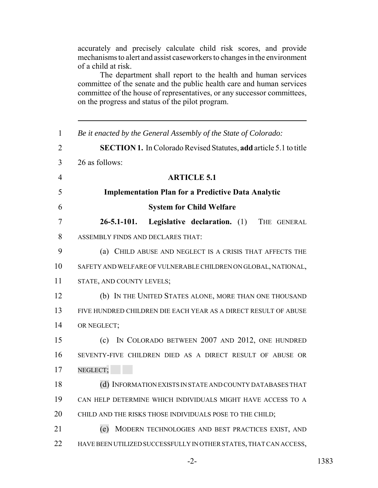accurately and precisely calculate child risk scores, and provide mechanisms to alert and assist caseworkers to changes in the environment of a child at risk.

The department shall report to the health and human services committee of the senate and the public health care and human services committee of the house of representatives, or any successor committees, on the progress and status of the pilot program.

| $\mathbf{1}$   | Be it enacted by the General Assembly of the State of Colorado:          |
|----------------|--------------------------------------------------------------------------|
| $\overline{2}$ | <b>SECTION 1.</b> In Colorado Revised Statutes, add article 5.1 to title |
| 3              | 26 as follows:                                                           |
| $\overline{4}$ | <b>ARTICLE 5.1</b>                                                       |
| 5              | <b>Implementation Plan for a Predictive Data Analytic</b>                |
| 6              | <b>System for Child Welfare</b>                                          |
| $\overline{7}$ | $26 - 5.1 - 101.$<br><b>Legislative declaration.</b> (1)<br>THE GENERAL  |
| 8              | ASSEMBLY FINDS AND DECLARES THAT:                                        |
| 9              | (a) CHILD ABUSE AND NEGLECT IS A CRISIS THAT AFFECTS THE                 |
| 10             | SAFETY AND WELFARE OF VULNERABLE CHILDREN ON GLOBAL, NATIONAL,           |
| 11             | STATE, AND COUNTY LEVELS;                                                |
| 12             | (b) IN THE UNITED STATES ALONE, MORE THAN ONE THOUSAND                   |
| 13             | FIVE HUNDRED CHILDREN DIE EACH YEAR AS A DIRECT RESULT OF ABUSE          |
| 14             | OR NEGLECT;                                                              |
| 15             | (c) IN COLORADO BETWEEN 2007 AND 2012, ONE HUNDRED                       |
| 16             | SEVENTY-FIVE CHILDREN DIED AS A DIRECT RESULT OF ABUSE OR                |
| 17             | NEGLECT;                                                                 |
| 18             | (d) INFORMATION EXISTS IN STATE AND COUNTY DATABASES THAT                |
| 19             | CAN HELP DETERMINE WHICH INDIVIDUALS MIGHT HAVE ACCESS TO A              |
| 20             | CHILD AND THE RISKS THOSE INDIVIDUALS POSE TO THE CHILD;                 |
| 21             | (e)<br>MODERN TECHNOLOGIES AND BEST PRACTICES EXIST, AND                 |
| 22             | HAVE BEEN UTILIZED SUCCESSFULLY IN OTHER STATES, THAT CAN ACCESS,        |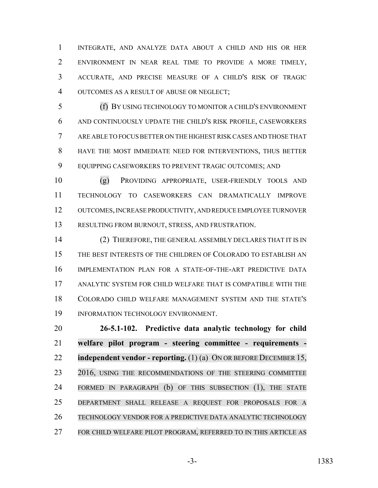INTEGRATE, AND ANALYZE DATA ABOUT A CHILD AND HIS OR HER ENVIRONMENT IN NEAR REAL TIME TO PROVIDE A MORE TIMELY, ACCURATE, AND PRECISE MEASURE OF A CHILD'S RISK OF TRAGIC OUTCOMES AS A RESULT OF ABUSE OR NEGLECT;

 (f) BY USING TECHNOLOGY TO MONITOR A CHILD'S ENVIRONMENT AND CONTINUOUSLY UPDATE THE CHILD'S RISK PROFILE, CASEWORKERS ARE ABLE TO FOCUS BETTER ON THE HIGHEST RISK CASES AND THOSE THAT HAVE THE MOST IMMEDIATE NEED FOR INTERVENTIONS, THUS BETTER EQUIPPING CASEWORKERS TO PREVENT TRAGIC OUTCOMES; AND

 (g) PROVIDING APPROPRIATE, USER-FRIENDLY TOOLS AND TECHNOLOGY TO CASEWORKERS CAN DRAMATICALLY IMPROVE OUTCOMES, INCREASE PRODUCTIVITY, AND REDUCE EMPLOYEE TURNOVER RESULTING FROM BURNOUT, STRESS, AND FRUSTRATION.

 (2) THEREFORE, THE GENERAL ASSEMBLY DECLARES THAT IT IS IN THE BEST INTERESTS OF THE CHILDREN OF COLORADO TO ESTABLISH AN IMPLEMENTATION PLAN FOR A STATE-OF-THE-ART PREDICTIVE DATA ANALYTIC SYSTEM FOR CHILD WELFARE THAT IS COMPATIBLE WITH THE COLORADO CHILD WELFARE MANAGEMENT SYSTEM AND THE STATE'S INFORMATION TECHNOLOGY ENVIRONMENT.

 **26-5.1-102. Predictive data analytic technology for child welfare pilot program - steering committee - requirements - independent vendor - reporting.** (1) (a) ON OR BEFORE DECEMBER 15, 23 2016, USING THE RECOMMENDATIONS OF THE STEERING COMMITTEE FORMED IN PARAGRAPH (b) OF THIS SUBSECTION (1), THE STATE DEPARTMENT SHALL RELEASE A REQUEST FOR PROPOSALS FOR A TECHNOLOGY VENDOR FOR A PREDICTIVE DATA ANALYTIC TECHNOLOGY FOR CHILD WELFARE PILOT PROGRAM, REFERRED TO IN THIS ARTICLE AS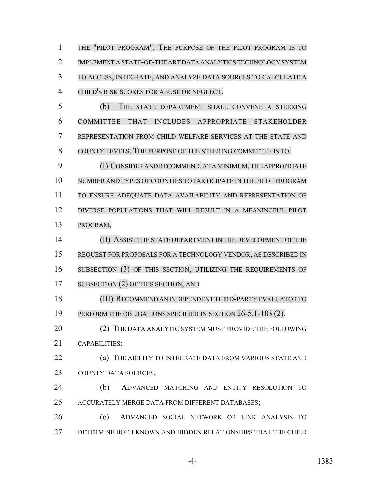THE "PILOT PROGRAM". THE PURPOSE OF THE PILOT PROGRAM IS TO IMPLEMENT A STATE-OF-THE ART DATA ANALYTICS TECHNOLOGY SYSTEM TO ACCESS, INTEGRATE, AND ANALYZE DATA SOURCES TO CALCULATE A CHILD'S RISK SCORES FOR ABUSE OR NEGLECT.

 (b) THE STATE DEPARTMENT SHALL CONVENE A STEERING COMMITTEE THAT INCLUDES APPROPRIATE STAKEHOLDER REPRESENTATION FROM CHILD WELFARE SERVICES AT THE STATE AND COUNTY LEVELS. THE PURPOSE OF THE STEERING COMMITTEE IS TO:

9 (I) CONSIDER AND RECOMMEND, AT A MINIMUM, THE APPROPRIATE NUMBER AND TYPES OFCOUNTIES TO PARTICIPATE IN THE PILOT PROGRAM TO ENSURE ADEQUATE DATA AVAILABILITY AND REPRESENTATION OF DIVERSE POPULATIONS THAT WILL RESULT IN A MEANINGFUL PILOT PROGRAM;

 (II) ASSIST THE STATE DEPARTMENT IN THE DEVELOPMENT OF THE REQUEST FOR PROPOSALS FOR A TECHNOLOGY VENDOR, AS DESCRIBED IN SUBSECTION (3) OF THIS SECTION, UTILIZING THE REQUIREMENTS OF 17 SUBSECTION (2) OF THIS SECTION; AND

 (III) RECOMMENDANINDEPENDENTTHIRD-PARTYEVALUATORTO 19 PERFORM THE OBLIGATIONS SPECIFIED IN SECTION 26-5.1-103 (2).

20 (2) THE DATA ANALYTIC SYSTEM MUST PROVIDE THE FOLLOWING CAPABILITIES:

**(a) THE ABILITY TO INTEGRATE DATA FROM VARIOUS STATE AND** COUNTY DATA SOURCES;

 (b) ADVANCED MATCHING AND ENTITY RESOLUTION TO ACCURATELY MERGE DATA FROM DIFFERENT DATABASES;

 (c) ADVANCED SOCIAL NETWORK OR LINK ANALYSIS TO DETERMINE BOTH KNOWN AND HIDDEN RELATIONSHIPS THAT THE CHILD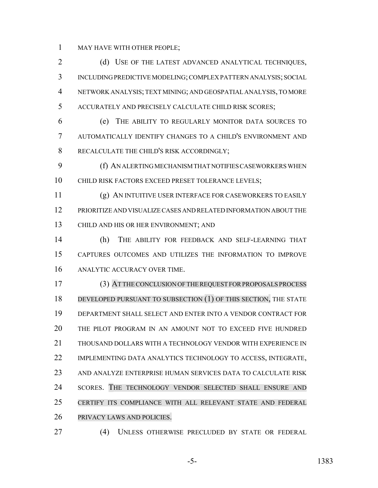MAY HAVE WITH OTHER PEOPLE;

2 (d) USE OF THE LATEST ADVANCED ANALYTICAL TECHNIQUES, INCLUDING PREDICTIVE MODELING; COMPLEX PATTERN ANALYSIS; SOCIAL NETWORK ANALYSIS; TEXT MINING; AND GEOSPATIAL ANALYSIS, TO MORE ACCURATELY AND PRECISELY CALCULATE CHILD RISK SCORES;

 (e) THE ABILITY TO REGULARLY MONITOR DATA SOURCES TO AUTOMATICALLY IDENTIFY CHANGES TO A CHILD'S ENVIRONMENT AND RECALCULATE THE CHILD'S RISK ACCORDINGLY;

 (f) AN ALERTING MECHANISM THAT NOTIFIES CASEWORKERS WHEN CHILD RISK FACTORS EXCEED PRESET TOLERANCE LEVELS;

 (g) AN INTUITIVE USER INTERFACE FOR CASEWORKERS TO EASILY PRIORITIZE AND VISUALIZE CASES AND RELATED INFORMATION ABOUT THE CHILD AND HIS OR HER ENVIRONMENT; AND

 (h) THE ABILITY FOR FEEDBACK AND SELF-LEARNING THAT CAPTURES OUTCOMES AND UTILIZES THE INFORMATION TO IMPROVE ANALYTIC ACCURACY OVER TIME.

 (3) ATTHECONCLUSIONOFTHE REQUEST FOR PROPOSALS PROCESS 18 DEVELOPED PURSUANT TO SUBSECTION (1) OF THIS SECTION, THE STATE DEPARTMENT SHALL SELECT AND ENTER INTO A VENDOR CONTRACT FOR THE PILOT PROGRAM IN AN AMOUNT NOT TO EXCEED FIVE HUNDRED THOUSAND DOLLARS WITH A TECHNOLOGY VENDOR WITH EXPERIENCE IN IMPLEMENTING DATA ANALYTICS TECHNOLOGY TO ACCESS, INTEGRATE, AND ANALYZE ENTERPRISE HUMAN SERVICES DATA TO CALCULATE RISK SCORES. THE TECHNOLOGY VENDOR SELECTED SHALL ENSURE AND CERTIFY ITS COMPLIANCE WITH ALL RELEVANT STATE AND FEDERAL PRIVACY LAWS AND POLICIES.

(4) UNLESS OTHERWISE PRECLUDED BY STATE OR FEDERAL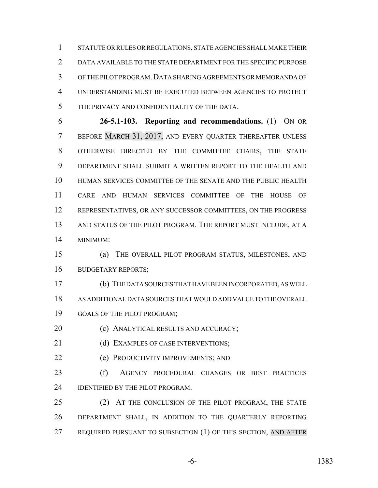STATUTE OR RULES OR REGULATIONS, STATE AGENCIES SHALL MAKE THEIR DATA AVAILABLE TO THE STATE DEPARTMENT FOR THE SPECIFIC PURPOSE OF THE PILOT PROGRAM.DATA SHARING AGREEMENTS OR MEMORANDA OF UNDERSTANDING MUST BE EXECUTED BETWEEN AGENCIES TO PROTECT THE PRIVACY AND CONFIDENTIALITY OF THE DATA.

 **26-5.1-103. Reporting and recommendations.** (1) ON OR 7 BEFORE MARCH 31, 2017, AND EVERY QUARTER THEREAFTER UNLESS OTHERWISE DIRECTED BY THE COMMITTEE CHAIRS, THE STATE DEPARTMENT SHALL SUBMIT A WRITTEN REPORT TO THE HEALTH AND HUMAN SERVICES COMMITTEE OF THE SENATE AND THE PUBLIC HEALTH CARE AND HUMAN SERVICES COMMITTEE OF THE HOUSE OF REPRESENTATIVES, OR ANY SUCCESSOR COMMITTEES, ON THE PROGRESS AND STATUS OF THE PILOT PROGRAM. THE REPORT MUST INCLUDE, AT A MINIMUM:

 (a) THE OVERALL PILOT PROGRAM STATUS, MILESTONES, AND BUDGETARY REPORTS;

 (b) THE DATA SOURCES THAT HAVE BEEN INCORPORATED, AS WELL AS ADDITIONAL DATA SOURCES THAT WOULD ADD VALUE TO THE OVERALL GOALS OF THE PILOT PROGRAM;

(c) ANALYTICAL RESULTS AND ACCURACY;

21 (d) EXAMPLES OF CASE INTERVENTIONS;

(e) PRODUCTIVITY IMPROVEMENTS; AND

 (f) AGENCY PROCEDURAL CHANGES OR BEST PRACTICES **IDENTIFIED BY THE PILOT PROGRAM.** 

25 (2) AT THE CONCLUSION OF THE PILOT PROGRAM, THE STATE DEPARTMENT SHALL, IN ADDITION TO THE QUARTERLY REPORTING REQUIRED PURSUANT TO SUBSECTION (1) OF THIS SECTION, AND AFTER